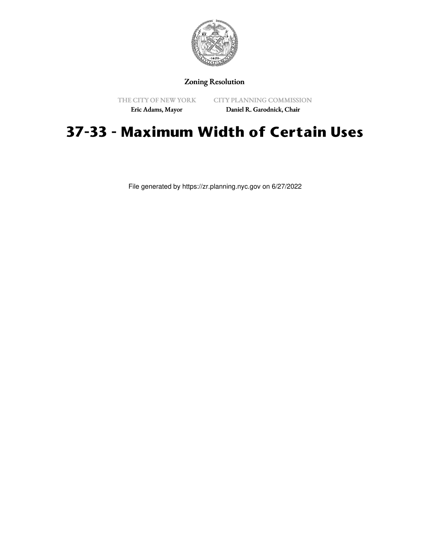

## Zoning Resolution

THE CITY OF NEW YORK

CITY PLANNING COMMISSION

Eric Adams, Mayor

Daniel R. Garodnick, Chair

## **37-33 - Maximum Width of Certain Uses**

File generated by https://zr.planning.nyc.gov on 6/27/2022